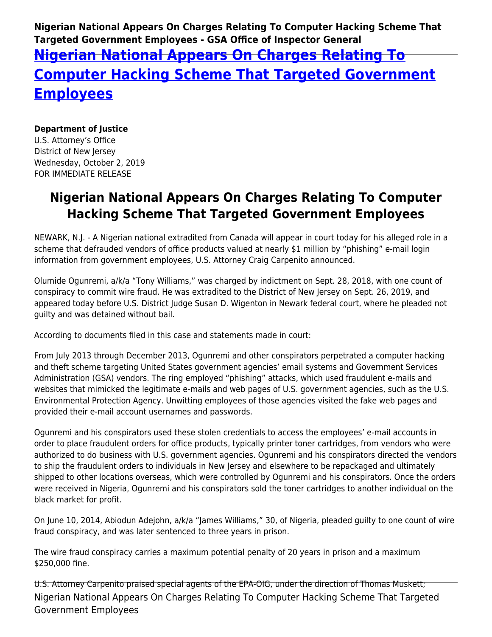**Nigerian National Appears On Charges Relating To Computer Hacking Scheme That Targeted Government Employees - GSA Office of Inspector General**

## **[Nigerian National Appears On Charges Relating To](https://www.gsaig.gov/news/nigerian-national-appears-charges-relating-computer-hacking-scheme-targeted-government) [Computer Hacking Scheme That Targeted Government](https://www.gsaig.gov/news/nigerian-national-appears-charges-relating-computer-hacking-scheme-targeted-government) [Employees](https://www.gsaig.gov/news/nigerian-national-appears-charges-relating-computer-hacking-scheme-targeted-government)**

## **Department of Justice**

U.S. Attorney's Office District of New Jersey Wednesday, October 2, 2019 FOR IMMEDIATE RELEASE

## **Nigerian National Appears On Charges Relating To Computer Hacking Scheme That Targeted Government Employees**

NEWARK, N.J. - A Nigerian national extradited from Canada will appear in court today for his alleged role in a scheme that defrauded vendors of office products valued at nearly \$1 million by "phishing" e-mail login information from government employees, U.S. Attorney Craig Carpenito announced.

Olumide Ogunremi, a/k/a "Tony Williams," was charged by indictment on Sept. 28, 2018, with one count of conspiracy to commit wire fraud. He was extradited to the District of New Jersey on Sept. 26, 2019, and appeared today before U.S. District Judge Susan D. Wigenton in Newark federal court, where he pleaded not guilty and was detained without bail.

According to documents filed in this case and statements made in court:

From July 2013 through December 2013, Ogunremi and other conspirators perpetrated a computer hacking and theft scheme targeting United States government agencies' email systems and Government Services Administration (GSA) vendors. The ring employed "phishing" attacks, which used fraudulent e-mails and websites that mimicked the legitimate e-mails and web pages of U.S. government agencies, such as the U.S. Environmental Protection Agency. Unwitting employees of those agencies visited the fake web pages and provided their e-mail account usernames and passwords.

Ogunremi and his conspirators used these stolen credentials to access the employees' e-mail accounts in order to place fraudulent orders for office products, typically printer toner cartridges, from vendors who were authorized to do business with U.S. government agencies. Ogunremi and his conspirators directed the vendors to ship the fraudulent orders to individuals in New Jersey and elsewhere to be repackaged and ultimately shipped to other locations overseas, which were controlled by Ogunremi and his conspirators. Once the orders were received in Nigeria, Ogunremi and his conspirators sold the toner cartridges to another individual on the black market for profit.

On June 10, 2014, Abiodun Adejohn, a/k/a "James Williams," 30, of Nigeria, pleaded guilty to one count of wire fraud conspiracy, and was later sentenced to three years in prison.

The wire fraud conspiracy carries a maximum potential penalty of 20 years in prison and a maximum \$250,000 fine.

Nigerian National Appears On Charges Relating To Computer Hacking Scheme That Targeted Government Employees U.S. Attorney Carpenito praised special agents of the EPA-OIG, under the direction of Thomas Muskett;